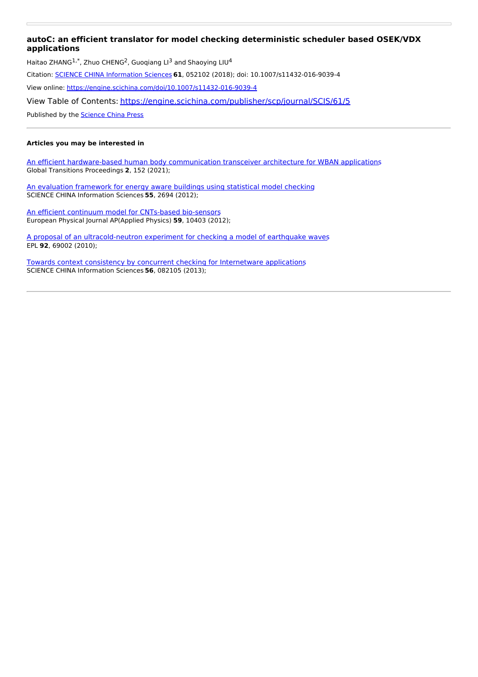# **autoC: an efficient translator for model checking [deterministic](https://engine.scichina.com/publisher/scp/journal/SCIS) scheduler based OSEK/VDX applications**

Haitao ZHANG<sup>1,\*</sup>, Zhuo CHENG<sup>2</sup>, Guoqiang LI<sup>3</sup> and Shaoying LIU<sup>4</sup> Citation: SCIENCE CHINA [Information](https://engine.scichina.com/publisher/scp/journal/SCIS) Sciences **61**, 052102 (2018); doi: 10.1007/s11432-016-9039-4 View online: <https://engine.scichina.com/doi/10.1007/s11432-016-9039-4> View Table of Contents: <https://engine.scichina.com/publisher/scp/journal/SCIS/61/5> Published by the [Science](https://engine.scichina.com/publisher/scp) China Press

# **Articles you may be interested in**

An efficient [hardware-based](https://engine.scichina.com/doi/10.1016/j.gltp.2021.08.070) human body communication transceiver architecture for WBAN applications Global Transitions Proceedings **2**, 152 (2021);

An evaluation [framework](https://engine.scichina.com/doi/10.1007/s11432-012-4742-0) for energy aware buildings using statistical model checking SCIENCE CHINA Information Sciences **55**, 2694 (2012);

An efficient continuum model for [CNTs-based](https://engine.scichina.com/doi/10.1051/epjap/2012110476) bio-sensors European Physical Journal AP(Applied Physics) **59**, 10403 (2012);

A proposal of an [ultracold-neutron](https://engine.scichina.com/doi/10.1209/0295-5075/92/69002) experiment for checking a model of earthquake waves EPL **92**, 69002 (2010);

Towards context consistency by concurrent checking for [Internetware](https://engine.scichina.com/doi/10.1007/s11432-013-4907-5) applications SCIENCE CHINA Information Sciences **56**, 082105 (2013);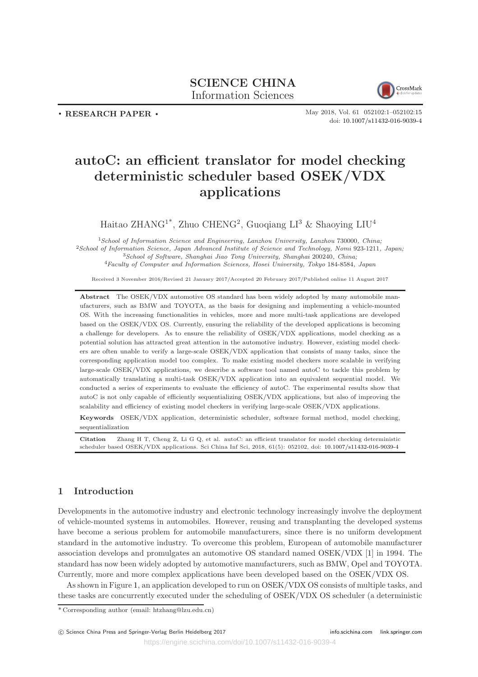# SCIENCE CHINA Information Sciences



. RESEARCH PAPER .

May 2018, Vol. 61 052102:1–052102:15 doi: [10.1007/s11432-016-9039-4](https://doi.org/10.1007/s11432-016-9039-4)

# autoC: an efficient translator for model checking deterministic scheduler based OSEK/VDX applications

Haitao ZHANG<sup>1\*</sup>, Zhuo CHENG<sup>2</sup>, Guoqiang LI<sup>3</sup> & Shaoying LIU<sup>4</sup>

School of Information Science and Engineering, Lanzhou University, Lanzhou 730000, China; School of Information Science, Japan Advanced Institute of Science and Technology, Nomi 923-1211, Japan; School of Software, Shanghai Jiao Tong University, Shanghai 200240, China; Faculty of Computer and Information Sciences, Hosei University, Tokyo 184-8584, Japan

Received 3 November 2016/Revised 21 January 2017/Accepted 20 February 2017/Published online 11 August 2017

Abstract The OSEK/VDX automotive OS standard has been widely adopted by many automobile manufacturers, such as BMW and TOYOTA, as the basis for designing and implementing a vehicle-mounted OS. With the increasing functionalities in vehicles, more and more multi-task applications are developed based on the OSEK/VDX OS. Currently, ensuring the reliability of the developed applications is becoming a challenge for developers. As to ensure the reliability of OSEK/VDX applications, model checking as a potential solution has attracted great attention in the automotive industry. However, existing model checkers are often unable to verify a large-scale OSEK/VDX application that consists of many tasks, since the corresponding application model too complex. To make existing model checkers more scalable in verifying large-scale OSEK/VDX applications, we describe a software tool named autoC to tackle this problem by automatically translating a multi-task OSEK/VDX application into an equivalent sequential model. We conducted a series of experiments to evaluate the efficiency of autoC. The experimental results show that autoC is not only capable of efficiently sequentializing OSEK/VDX applications, but also of improving the scalability and efficiency of existing model checkers in verifying large-scale OSEK/VDX applications.

Keywords OSEK/VDX application, deterministic scheduler, software formal method, model checking, sequentialization

Citation Zhang H T, Cheng Z, Li G Q, et al. autoC: an efficient translator for model checking deterministic scheduler based OSEK/VDX applications. Sci China Inf Sci, 2018, 61(5): 052102, doi: [10.1007/s11432-016-9039-4](https://doi.org/10.1007/s11432-016-9039-4)

# 1 Introduction

Developments in the automotive industry and electronic technology increasingly involve the deployment of vehicle-mounted systems in automobiles. However, reusing and transplanting the developed systems have become a serious problem for automobile manufacturers, since there is no uniform development standard in the automotive industry. To overcome this problem, European of automobile manufacturer association develops and promulgates an automotive OS standard named OSEK/VDX [1] in 1994. The standard has now been widely adopted by automotive manufacturers, such as BMW, Opel and TOYOTA. Currently, more and more complex applications have been developed based on the OSEK/VDX OS.

As shown in Figure 1, an application developed to run on OSEK/VDX OS consists of multiple tasks, and these tasks are concurrently executed under the scheduling of OSEK/VDX OS scheduler (a deterministic

<sup>\*</sup> Corresponding author (email: htzhang@lzu.edu.cn)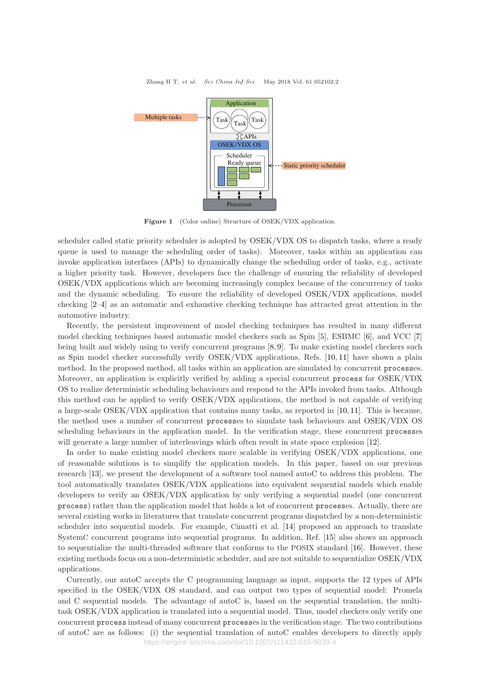

Zhang H T, et al. Sci China Inf Sci May 2018 Vol. 61 052102:2

Figure 1 (Color online) Structure of OSEK/VDX application.

scheduler called static priority scheduler is adopted by OSEK/VDX OS to dispatch tasks, where a ready queue is used to manage the scheduling order of tasks). Moreover, tasks within an application can invoke application interfaces (APIs) to dynamically change the scheduling order of tasks, e.g., activate a higher priority task. However, developers face the challenge of ensuring the reliability of developed OSEK/VDX applications which are becoming increasingly complex because of the concurrency of tasks and the dynamic scheduling. To ensure the reliability of developed OSEK/VDX applications, model checking [2–4] as an automatic and exhaustive checking technique has attracted great attention in the automotive industry.

Recently, the persistent improvement of model checking techniques has resulted in many different model checking techniques based automatic model checkers such as Spin [5], ESBMC [6], and VCC [7] being built and widely using to verify concurrent programs [8, 9]. To make existing model checkers such as Spin model checker successfully verify OSEK/VDX applications, Refs. [10, 11] have shown a plain method. In the proposed method, all tasks within an application are simulated by concurrent processes. Moreover, an application is explicitly verified by adding a special concurrent process for OSEK/VDX OS to realize deterministic scheduling behaviours and respond to the APIs invoked from tasks. Although this method can be applied to verify OSEK/VDX applications, the method is not capable of verifying a large-scale OSEK/VDX application that contains many tasks, as reported in [10, 11]. This is because, the method uses a number of concurrent processes to simulate task behaviours and OSEK/VDX OS scheduling behaviours in the application model. In the verification stage, these concurrent processes will generate a large number of interleavings which often result in state space explosion [12].

In order to make existing model checkers more scalable in verifying OSEK/VDX applications, one of reasonable solutions is to simplify the application models. In this paper, based on our previous research [13], we present the development of a software tool named autoC to address this problem. The tool automatically translates OSEK/VDX applications into equivalent sequential models which enable developers to verify an OSEK/VDX application by only verifying a sequential model (one concurrent process) rather than the application model that holds a lot of concurrent processes. Actually, there are several existing works in literatures that translate concurrent programs dispatched by a non-deterministic scheduler into sequential models. For example, Cimatti et al. [14] proposed an approach to translate SystemC concurrent programs into sequential programs. In addition, Ref. [15] also shows an approach to sequentialize the multi-threaded software that conforms to the POSIX standard [16]. However, these existing methods focus on a non-deterministic scheduler, and are not suitable to sequentialize OSEK/VDX applications.

Currently, our autoC accepts the C programming language as input, supports the 12 types of APIs specified in the OSEK/VDX OS standard, and can output two types of sequential model: Promela and C sequential models. The advantage of autoC is, based on the sequential translation, the multitask OSEK/VDX application is translated into a sequential model. Thus, model checkers only verify one concurrent process instead of many concurrent processes in the verification stage. The two contributions of autoC are as follows: (i) the sequential translation of autoC enables developers to directly apply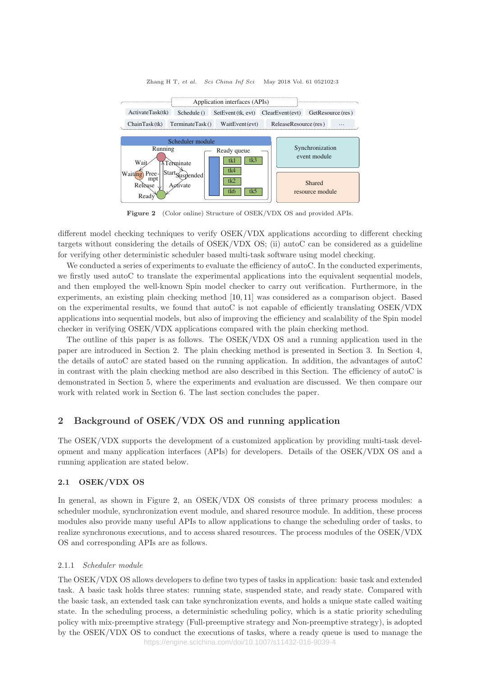

Zhang H T, et al. Sci China Inf Sci May 2018 Vol. 61 052102:3

Figure 2 (Color online) Structure of OSEK/VDX OS and provided APIs.

different model checking techniques to verify OSEK/VDX applications according to different checking targets without considering the details of OSEK/VDX OS; (ii) autoC can be considered as a guideline for verifying other deterministic scheduler based multi-task software using model checking.

We conducted a series of experiments to evaluate the efficiency of autoC. In the conducted experiments, we firstly used autoC to translate the experimental applications into the equivalent sequential models, and then employed the well-known Spin model checker to carry out verification. Furthermore, in the experiments, an existing plain checking method [10, 11] was considered as a comparison object. Based on the experimental results, we found that autoC is not capable of efficiently translating OSEK/VDX applications into sequential models, but also of improving the efficiency and scalability of the Spin model checker in verifying OSEK/VDX applications compared with the plain checking method.

The outline of this paper is as follows. The OSEK/VDX OS and a running application used in the paper are introduced in Section 2. The plain checking method is presented in Section 3. In Section 4, the details of autoC are stated based on the running application. In addition, the advantages of autoC in contrast with the plain checking method are also described in this Section. The efficiency of autoC is demonstrated in Section 5, where the experiments and evaluation are discussed. We then compare our work with related work in Section 6. The last section concludes the paper.

# 2 Background of OSEK/VDX OS and running application

The OSEK/VDX supports the development of a customized application by providing multi-task development and many application interfaces (APIs) for developers. Details of the OSEK/VDX OS and a running application are stated below.

# 2.1 OSEK/VDX OS

In general, as shown in Figure 2, an OSEK/VDX OS consists of three primary process modules: a scheduler module, synchronization event module, and shared resource module. In addition, these process modules also provide many useful APIs to allow applications to change the scheduling order of tasks, to realize synchronous executions, and to access shared resources. The process modules of the OSEK/VDX OS and corresponding APIs are as follows.

# 2.1.1 Scheduler module

The OSEK/VDX OS allows developers to define two types of tasks in application: basic task and extended task. A basic task holds three states: running state, suspended state, and ready state. Compared with the basic task, an extended task can take synchronization events, and holds a unique state called waiting state. In the scheduling process, a deterministic scheduling policy, which is a static priority scheduling policy with mix-preemptive strategy (Full-preemptive strategy and Non-preemptive strategy), is adopted by the OSEK/VDX OS to conduct the executions of tasks, where a ready queue is used to manage the https://engine.scichina.com/doi/10.1007/s11432-016-9039-4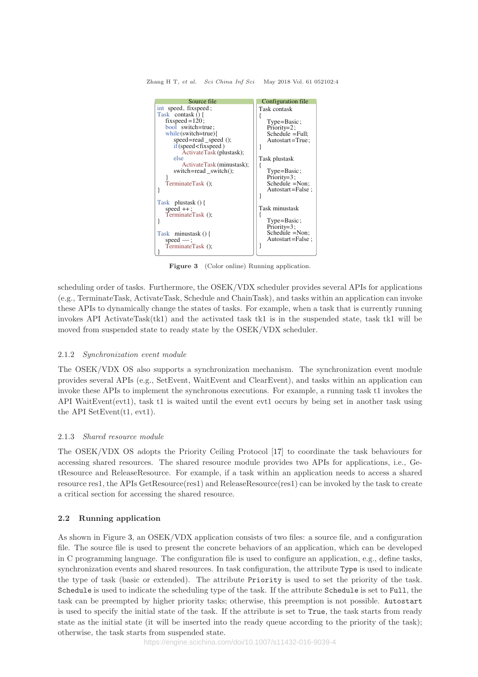

Zhang H T, et al. Sci China Inf Sci May 2018 Vol. 61 052102:4

Figure 3 (Color online) Running application.

scheduling order of tasks. Furthermore, the OSEK/VDX scheduler provides several APIs for applications (e.g., TerminateTask, ActivateTask, Schedule and ChainTask), and tasks within an application can invoke these APIs to dynamically change the states of tasks. For example, when a task that is currently running invokes API ActivateTask(tk1) and the activated task tk1 is in the suspended state, task tk1 will be moved from suspended state to ready state by the OSEK/VDX scheduler.

# 2.1.2 Synchronization event module

The OSEK/VDX OS also supports a synchronization mechanism. The synchronization event module provides several APIs (e.g., SetEvent, WaitEvent and ClearEvent), and tasks within an application can invoke these APIs to implement the synchronous executions. For example, a running task t1 invokes the API WaitEvent(evt1), task t1 is waited until the event evt1 occurs by being set in another task using the API SetEvent(t1, evt1).

# 2.1.3 Shared resource module

The OSEK/VDX OS adopts the Priority Ceiling Protocol [17] to coordinate the task behaviours for accessing shared resources. The shared resource module provides two APIs for applications, i.e., GetResource and ReleaseResource. For example, if a task within an application needs to access a shared resource res1, the APIs GetResource(res1) and ReleaseResource(res1) can be invoked by the task to create a critical section for accessing the shared resource.

# 2.2 Running application

As shown in Figure 3, an OSEK/VDX application consists of two files: a source file, and a configuration file. The source file is used to present the concrete behaviors of an application, which can be developed in C programming language. The configuration file is used to configure an application, e.g., define tasks, synchronization events and shared resources. In task configuration, the attribute Type is used to indicate the type of task (basic or extended). The attribute Priority is used to set the priority of the task. Schedule is used to indicate the scheduling type of the task. If the attribute Schedule is set to Full, the task can be preempted by higher priority tasks; otherwise, this preemption is not possible. Autostart is used to specify the initial state of the task. If the attribute is set to True, the task starts from ready state as the initial state (it will be inserted into the ready queue according to the priority of the task); otherwise, the task starts from suspended state.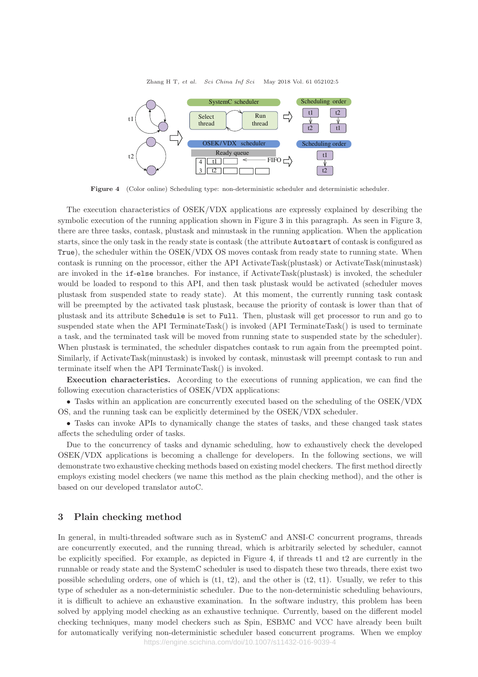



Figure 4 (Color online) Scheduling type: non-deterministic scheduler and deterministic scheduler.

The execution characteristics of OSEK/VDX applications are expressly explained by describing the symbolic execution of the running application shown in Figure 3 in this paragraph. As seen in Figure 3, there are three tasks, contask, plustask and minustask in the running application. When the application starts, since the only task in the ready state is contask (the attribute Autostart of contask is configured as True), the scheduler within the OSEK/VDX OS moves contask from ready state to running state. When contask is running on the processor, either the API ActivateTask(plustask) or ActivateTask(minustask) are invoked in the if-else branches. For instance, if ActivateTask(plustask) is invoked, the scheduler would be loaded to respond to this API, and then task plustask would be activated (scheduler moves plustask from suspended state to ready state). At this moment, the currently running task contask will be preempted by the activated task plustask, because the priority of contask is lower than that of plustask and its attribute Schedule is set to Full. Then, plustask will get processor to run and go to suspended state when the API TerminateTask() is invoked (API TerminateTask() is used to terminate a task, and the terminated task will be moved from running state to suspended state by the scheduler). When plustask is terminated, the scheduler dispatches contask to run again from the preempted point. Similarly, if ActivateTask(minustask) is invoked by contask, minustask will preempt contask to run and terminate itself when the API TerminateTask() is invoked.

Execution characteristics. According to the executions of running application, we can find the following execution characteristics of OSEK/VDX applications:

• Tasks within an application are concurrently executed based on the scheduling of the OSEK/VDX OS, and the running task can be explicitly determined by the OSEK/VDX scheduler.

• Tasks can invoke APIs to dynamically change the states of tasks, and these changed task states affects the scheduling order of tasks.

Due to the concurrency of tasks and dynamic scheduling, how to exhaustively check the developed OSEK/VDX applications is becoming a challenge for developers. In the following sections, we will demonstrate two exhaustive checking methods based on existing model checkers. The first method directly employs existing model checkers (we name this method as the plain checking method), and the other is based on our developed translator autoC.

# 3 Plain checking method

In general, in multi-threaded software such as in SystemC and ANSI-C concurrent programs, threads are concurrently executed, and the running thread, which is arbitrarily selected by scheduler, cannot be explicitly specified. For example, as depicted in Figure 4, if threads t1 and t2 are currently in the runnable or ready state and the SystemC scheduler is used to dispatch these two threads, there exist two possible scheduling orders, one of which is  $(t1, t2)$ , and the other is  $(t2, t1)$ . Usually, we refer to this type of scheduler as a non-deterministic scheduler. Due to the non-deterministic scheduling behaviours, it is difficult to achieve an exhaustive examination. In the software industry, this problem has been solved by applying model checking as an exhaustive technique. Currently, based on the different model checking techniques, many model checkers such as Spin, ESBMC and VCC have already been built for automatically verifying non-deterministic scheduler based concurrent programs. When we employ https://engine.scichina.com/doi/10.1007/s11432-016-9039-4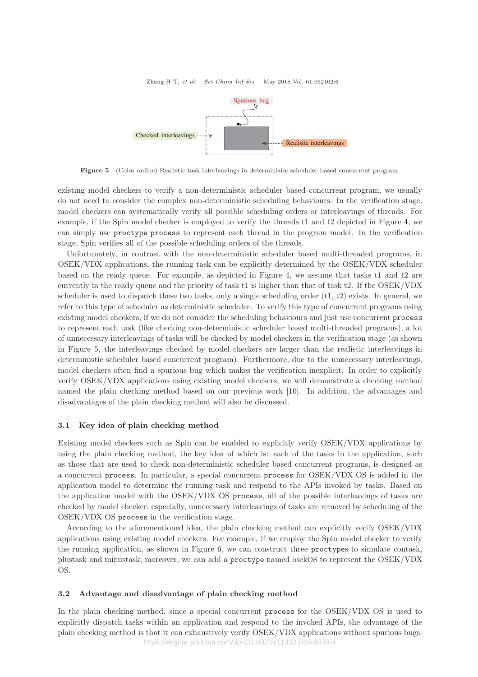

Zhang H T, et al. Sci China Inf Sci May 2018 Vol. 61 052102:6

Figure 5 (Color online) Realistic task interleavings in deterministic scheduler based concurrent program.

existing model checkers to verify a non-deterministic scheduler based concurrent program, we usually do not need to consider the complex non-deterministic scheduling behaviours. In the verification stage, model checkers can systematically verify all possible scheduling orders or interleavings of threads. For example, if the Spin model checker is employed to verify the threads t1 and t2 depicted in Figure 4, we can simply use proctype process to represent each thread in the program model. In the verification stage, Spin verifies all of the possible scheduling orders of the threads.

Unfortunately, in contrast with the non-deterministic scheduler based multi-threaded programs, in OSEK/VDX applications, the running task can be explicitly determined by the OSEK/VDX scheduler based on the ready queue. For example, as depicted in Figure 4, we assume that tasks t1 and t2 are currently in the ready queue and the priority of task t1 is higher than that of task t2. If the OSEK/VDX scheduler is used to dispatch these two tasks, only a single scheduling order  $(t1, t2)$  exists. In general, we refer to this type of scheduler as deterministic scheduler. To verify this type of concurrent programs using existing model checkers, if we do not consider the scheduling behaviours and just use concurrent process to represent each task (like checking non-deterministic scheduler based multi-threaded programs), a lot of unnecessary interleavings of tasks will be checked by model checkers in the verification stage (as shown in Figure 5, the interleavings checked by model checkers are larger than the realistic interleavings in deterministic scheduler based concurrent program). Furthermore, due to the unnecessary interleavings, model checkers often find a spurious bug which makes the verification inexplicit. In order to explicitly verify OSEK/VDX applications using existing model checkers, we will demonstrate a checking method named the plain checking method based on our previous work [10]. In addition, the advantages and disadvantages of the plain checking method will also be discussed.

# 3.1 Key idea of plain checking method

Existing model checkers such as Spin can be enabled to explicitly verify OSEK/VDX applications by using the plain checking method, the key idea of which is: each of the tasks in the application, such as those that are used to check non-deterministic scheduler based concurrent programs, is designed as a concurrent process. In particular, a special concurrent process for OSEK/VDX OS is added in the application model to determine the running task and respond to the APIs invoked by tasks. Based on the application model with the OSEK/VDX OS process, all of the possible interleavings of tasks are checked by model checker; especially, unnecessary interleavings of tasks are removed by scheduling of the OSEK/VDX OS process in the verification stage.

According to the aforementioned idea, the plain checking method can explicitly verify OSEK/VDX applications using existing model checkers. For example, if we employ the Spin model checker to verify the running application, as shown in Figure 6, we can construct three proctypes to simulate contask, plustask and minustask; moreover, we can add a proctype named osekOS to represent the OSEK/VDX OS.

# 3.2 Advantage and disadvantage of plain checking method

In the plain checking method, since a special concurrent process for the OSEK/VDX OS is used to explicitly dispatch tasks within an application and respond to the invoked APIs, the advantage of the plain checking method is that it can exhaustively verify OSEK/VDX applications without spurious bugs.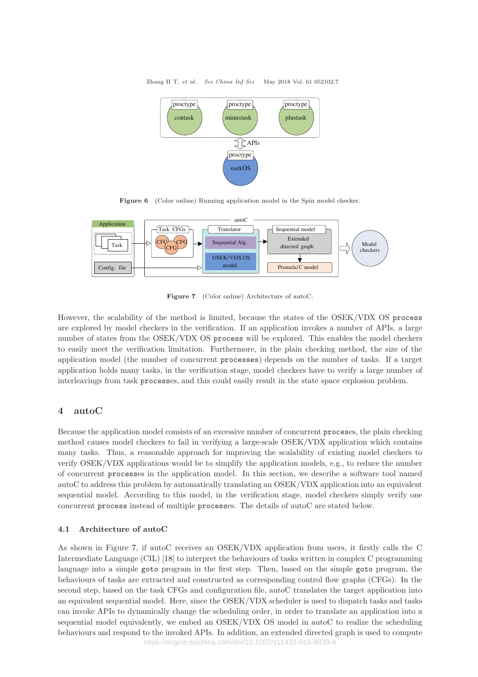

Figure 6 (Color online) Running application model in the Spin model checker.



Figure 7 (Color online) Architecture of autoC.

However, the scalability of the method is limited, because the states of the OSEK/VDX OS process are explored by model checkers in the verification. If an application invokes a number of APIs, a large number of states from the OSEK/VDX OS process will be explored. This enables the model checkers to easily meet the verification limitation. Furthermore, in the plain checking method, the size of the application model (the number of concurrent processes) depends on the number of tasks. If a target application holds many tasks, in the verification stage, model checkers have to verify a large number of interleavings from task processes, and this could easily result in the state space explosion problem.

# 4 autoC

Because the application model consists of an excessive number of concurrent proceses, the plain checking method causes model checkers to fail in verifying a large-scale OSEK/VDX application which contains many tasks. Thus, a reasonable approach for improving the scalability of existing model checkers to verify OSEK/VDX applications would be to simplify the application models, e.g., to reduce the number of concurrent processes in the application model. In this section, we describe a software tool named autoC to address this problem by automatically translating an OSEK/VDX application into an equivalent sequential model. According to this model, in the verification stage, model checkers simply verify one concurrent process instead of multiple processes. The details of autoC are stated below.

#### 4.1 Architecture of autoC

As shown in Figure 7, if autoC receives an OSEK/VDX application from users, it firstly calls the C Intermediate Language (CIL) [18] to interpret the behaviours of tasks written in complex C programming language into a simple goto program in the first step. Then, based on the simple goto program, the behaviours of tasks are extracted and constructed as corresponding control flow graphs (CFGs). In the second step, based on the task CFGs and configuration file, autoC translates the target application into an equivalent sequential model. Here, since the OSEK/VDX scheduler is used to dispatch tasks and tasks can invoke APIs to dynamically change the scheduling order, in order to translate an application into a sequential model equivalently, we embed an OSEK/VDX OS model in autoC to realize the scheduling behaviours and respond to the invoked APIs. In addition, an extended directed graph is used to compute https://engine.scichina.com/doi/10.1007/s11432-016-9039-4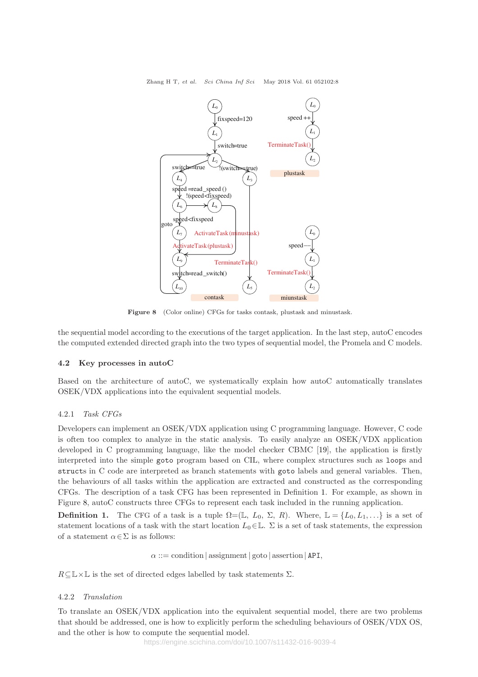

Figure 8 (Color online) CFGs for tasks contask, plustask and minustask.

the sequential model according to the executions of the target application. In the last step, autoC encodes the computed extended directed graph into the two types of sequential model, the Promela and C models.

# 4.2 Key processes in autoC

Based on the architecture of autoC, we systematically explain how autoC automatically translates OSEK/VDX applications into the equivalent sequential models.

# 4.2.1 Task CFGs

Developers can implement an OSEK/VDX application using C programming language. However, C code is often too complex to analyze in the static analysis. To easily analyze an OSEK/VDX application developed in C programming language, like the model checker CBMC [19], the application is firstly interpreted into the simple goto program based on CIL, where complex structures such as loops and structs in C code are interpreted as branch statements with goto labels and general variables. Then, the behaviours of all tasks within the application are extracted and constructed as the corresponding CFGs. The description of a task CFG has been represented in Definition 1. For example, as shown in Figure 8, autoC constructs three CFGs to represent each task included in the running application.

**Definition 1.** The CFG of a task is a tuple  $\Omega = (\mathbb{L}, L_0, \Sigma, R)$ . Where,  $\mathbb{L} = \{L_0, L_1, \ldots\}$  is a set of statement locations of a task with the start location  $L_0 \in \mathbb{L}$ .  $\Sigma$  is a set of task statements, the expression of a statement  $\alpha \in \Sigma$  is as follows:

 $\alpha ::=$  condition | assignment | goto | assertion | API,

 $R\subseteq\mathbb{L}\times\mathbb{L}$  is the set of directed edges labelled by task statements  $\Sigma$ .

# 4.2.2 Translation

To translate an OSEK/VDX application into the equivalent sequential model, there are two problems that should be addressed, one is how to explicitly perform the scheduling behaviours of OSEK/VDX OS, and the other is how to compute the sequential model.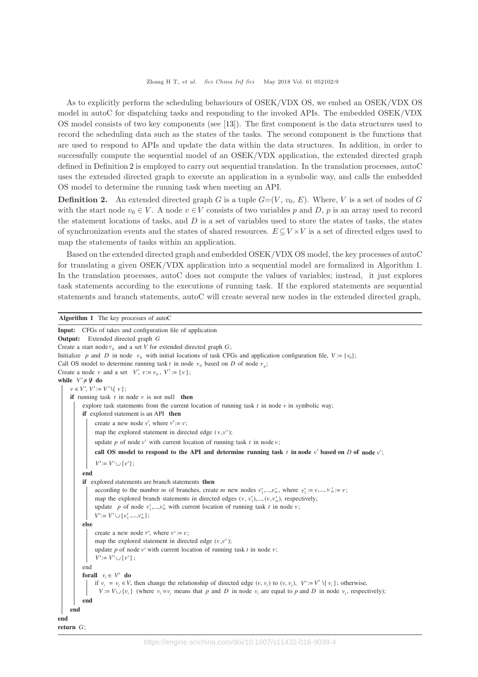As to explicitly perform the scheduling behaviours of OSEK/VDX OS, we embed an OSEK/VDX OS model in autoC for dispatching tasks and responding to the invoked APIs. The embedded OSEK/VDX OS model consists of two key components (see [13]). The first component is the data structures used to record the scheduling data such as the states of the tasks. The second component is the functions that are used to respond to APIs and update the data within the data structures. In addition, in order to successfully compute the sequential model of an OSEK/VDX application, the extended directed graph defined in Definition 2 is employed to carry out sequential translation. In the translation processes, autoC uses the extended directed graph to execute an application in a symbolic way, and calls the embedded OS model to determine the running task when meeting an API.

**Definition 2.** An extended directed graph G is a tuple  $G=(V, v_0, E)$ . Where, V is a set of nodes of G with the start node  $v_0 \in V$ . A node  $v \in V$  consists of two variables p and D, p is an array used to record the statement locations of tasks, and  $D$  is a set of variables used to store the states of tasks, the states of synchronization events and the states of shared resources.  $E \subseteq V \times V$  is a set of directed edges used to map the statements of tasks within an application.

Based on the extended directed graph and embedded OSEK/VDX OS model, the key processes of autoC for translating a given OSEK/VDX application into a sequential model are formalized in Algorithm 1. In the translation processes, autoC does not compute the values of variables; instead, it just explores task statements according to the executions of running task. If the explored statements are sequential statements and branch statements, autoC will create several new nodes in the extended directed graph,

**Algorithm 1** The key processes of autoC

```
Input: CFGs of takes and configuration file of application
Output: Extended directed graph G
Create a start node v_0 and a set V for extended directed graph G;
Initialize p and D in node v_0 with initial locations of task CFGs and application configuration file, V := \{v_0\};
Call OS model to determine running task t in node v_0 based on D of node v_0;
Create a node v and a set V', v := v_0, V' := \{v\};
while V' \neq \emptyset do
     v \in V', V' := V' \setminus \{v\};if running task t in node v is not null then
         explore task statements from the current location of running task t in node v in symbolic way;
         if explored statement is an API then
               create a new node v', where v' := v;
              map the explored statement in directed edge (v, v');
               update p of node v' with current location of running task t in node v;
               call OS model to respond to the API and determine running task t in node v' based on D of node v';
         end
         if explored statements are branch statements then
               according to the number m of branches, create m new nodes v'_1, ..., v'_m, where v'_1 := v, ..., v'_m := v;
               map the explored branch statements in directed edges (v, v'_1),..., (v, v'_m), respectively;
               update p of node v'_1,...,v'_m with current location of running task t in node v;
               V' := V' \cup \{v'_1, ..., v'_m\};else
               create a new node v', where v' := v;
              map the explored statement in directed edge (v, v');
              update p of node v' with current location of running task t in node v;
               V' := V' \cup \{v'\};end
          forall v_i \in V' do
               if v_i = v_j \in V, then change the relationship of directed edge (v, v_i) to (v, v_j), V' := V' \setminus \{v_i\}; otherwise,
                 V := V \cup \{v_i\} (where v_i = v_j means that p and D in node v_i are equal to p and D in node v_j, respectively);
         end
    end
end
return G;
                         ′
                                     ′
                                  ′
              V' := V' \cup \{v'\};′
          ′
                                   ′
                                                                    ′
                                                                                                         ′
                                                                                  ′
                                                                    ′
                                                                              ′
```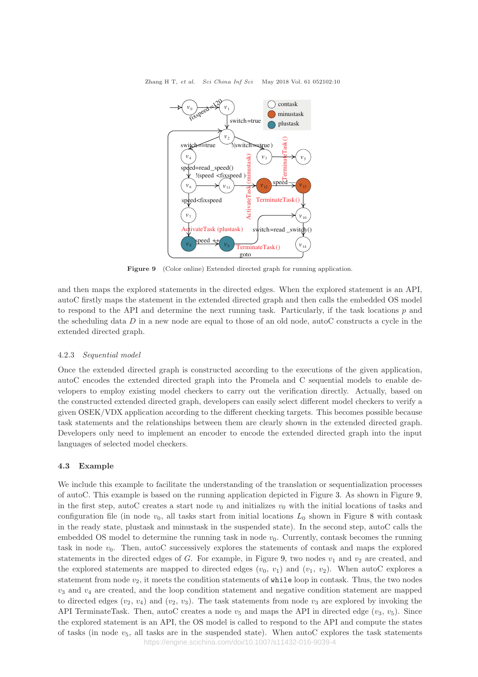

Figure 9 (Color online) Extended directed graph for running application.

and then maps the explored statements in the directed edges. When the explored statement is an API, autoC firstly maps the statement in the extended directed graph and then calls the embedded OS model to respond to the API and determine the next running task. Particularly, if the task locations p and the scheduling data  $D$  in a new node are equal to those of an old node, autoC constructs a cycle in the extended directed graph.

#### 4.2.3 Sequential model

Once the extended directed graph is constructed according to the executions of the given application, autoC encodes the extended directed graph into the Promela and C sequential models to enable developers to employ existing model checkers to carry out the verification directly. Actually, based on the constructed extended directed graph, developers can easily select different model checkers to verify a given OSEK/VDX application according to the different checking targets. This becomes possible because task statements and the relationships between them are clearly shown in the extended directed graph. Developers only need to implement an encoder to encode the extended directed graph into the input languages of selected model checkers.

#### 4.3 Example

We include this example to facilitate the understanding of the translation or sequentialization processes of autoC. This example is based on the running application depicted in Figure 3. As shown in Figure 9, in the first step, autoC creates a start node  $v_0$  and initializes  $v_0$  with the initial locations of tasks and configuration file (in node  $v_0$ , all tasks start from initial locations  $L_0$  shown in Figure 8 with contask in the ready state, plustask and minustask in the suspended state). In the second step, autoC calls the embedded OS model to determine the running task in node  $v<sub>0</sub>$ . Currently, contask becomes the running task in node  $v_0$ . Then, autoC successively explores the statements of contask and maps the explored statements in the directed edges of G. For example, in Figure 9, two nodes  $v_1$  and  $v_2$  are created, and the explored statements are mapped to directed edges  $(v_0, v_1)$  and  $(v_1, v_2)$ . When autoC explores a statement from node  $v_2$ , it meets the condition statements of while loop in contask. Thus, the two nodes  $v_3$  and  $v_4$  are created, and the loop condition statement and negative condition statement are mapped to directed edges  $(v_2, v_4)$  and  $(v_2, v_3)$ . The task statements from node  $v_3$  are explored by invoking the API TerminateTask. Then, autoC creates a node  $v_5$  and maps the API in directed edge  $(v_3, v_5)$ . Since the explored statement is an API, the OS model is called to respond to the API and compute the states of tasks (in node  $v_5$ , all tasks are in the suspended state). When autoC explores the task statements https://engine.scichina.com/doi/10.1007/s11432-016-9039-4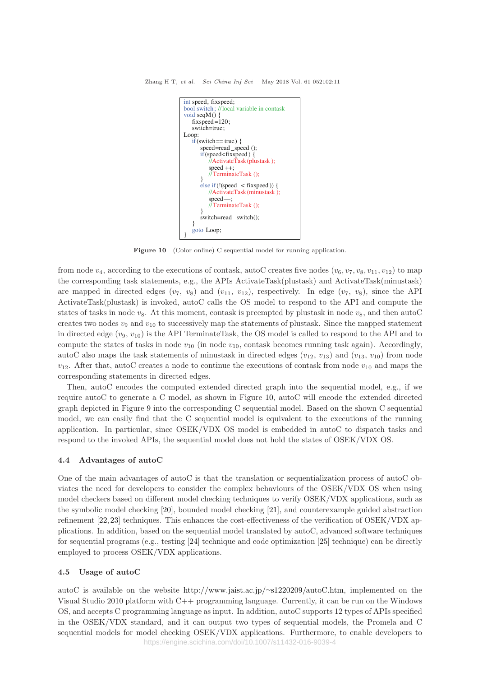

Zhang H T, et al. Sci China Inf Sci May 2018 Vol. 61 052102:11

Figure 10 (Color online) C sequential model for running application.

from node  $v_4$ , according to the executions of contask, autoC creates five nodes  $(v_6, v_7, v_8, v_{11}, v_{12})$  to map the corresponding task statements, e.g., the APIs ActivateTask(plustask) and ActivateTask(minustask) are mapped in directed edges  $(v_7, v_8)$  and  $(v_{11}, v_{12})$ , respectively. In edge  $(v_7, v_8)$ , since the API ActivateTask(plustask) is invoked, autoC calls the OS model to respond to the API and compute the states of tasks in node  $v_8$ . At this moment, contask is preempted by plustask in node  $v_8$ , and then autoC creates two nodes  $v_9$  and  $v_{10}$  to successively map the statements of plustask. Since the mapped statement in directed edge  $(v_9, v_{10})$  is the API TerminateTask, the OS model is called to respond to the API and to compute the states of tasks in node  $v_{10}$  (in node  $v_{10}$ , contask becomes running task again). Accordingly, autoC also maps the task statements of minustask in directed edges  $(v_{12}, v_{13})$  and  $(v_{13}, v_{10})$  from node  $v_{12}$ . After that, autoC creates a node to continue the executions of contask from node  $v_{10}$  and maps the corresponding statements in directed edges.

Then, autoC encodes the computed extended directed graph into the sequential model, e.g., if we require autoC to generate a C model, as shown in Figure 10, autoC will encode the extended directed graph depicted in Figure 9 into the corresponding C sequential model. Based on the shown C sequential model, we can easily find that the C sequential model is equivalent to the executions of the running application. In particular, since OSEK/VDX OS model is embedded in autoC to dispatch tasks and respond to the invoked APIs, the sequential model does not hold the states of OSEK/VDX OS.

# 4.4 Advantages of autoC

One of the main advantages of autoC is that the translation or sequentialization process of autoC obviates the need for developers to consider the complex behaviours of the OSEK/VDX OS when using model checkers based on different model checking techniques to verify OSEK/VDX applications, such as the symbolic model checking [20], bounded model checking [21], and counterexample guided abstraction refinement [22,23] techniques. This enhances the cost-effectiveness of the verification of OSEK/VDX applications. In addition, based on the sequential model translated by autoC, advanced software techniques for sequential programs (e.g., testing [24] technique and code optimization [25] technique) can be directly employed to process OSEK/VDX applications.

# 4.5 Usage of autoC

autoC is available on the website [http://www.jaist.ac.jp/](http://www.jaist.ac.jp/~s1220209/autoC.htm)∼s1220209/autoC.htm, implemented on the Visual Studio 2010 platform with C++ programming language. Currently, it can be run on the Windows OS, and accepts C programming language as input. In addition, autoC supports 12 types of APIs specified in the OSEK/VDX standard, and it can output two types of sequential models, the Promela and C sequential models for model checking OSEK/VDX applications. Furthermore, to enable developers to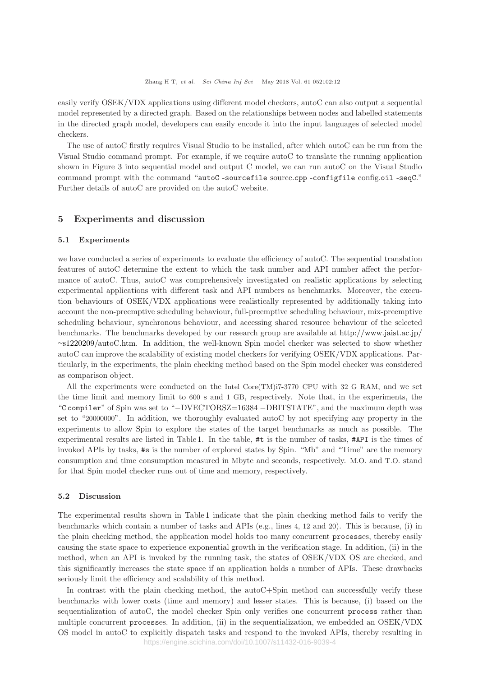easily verify OSEK/VDX applications using different model checkers, autoC can also output a sequential model represented by a directed graph. Based on the relationships between nodes and labelled statements in the directed graph model, developers can easily encode it into the input languages of selected model checkers.

The use of autoC firstly requires Visual Studio to be installed, after which autoC can be run from the Visual Studio command prompt. For example, if we require autoC to translate the running application shown in Figure 3 into sequential model and output C model, we can run autoC on the Visual Studio command prompt with the command "autoC -sourcefile source.cpp -configfile config.oil -seqC." Further details of autoC are provided on the autoC website.

# 5 Experiments and discussion

#### 5.1 Experiments

we have conducted a series of experiments to evaluate the efficiency of autoC. The sequential translation features of autoC determine the extent to which the task number and API number affect the performance of autoC. Thus, autoC was comprehensively investigated on realistic applications by selecting experimental applications with different task and API numbers as benchmarks. Moreover, the execution behaviours of OSEK/VDX applications were realistically represented by additionally taking into account the non-preemptive scheduling behaviour, full-preemptive scheduling behaviour, mix-preemptive scheduling behaviour, synchronous behaviour, and accessing shared resource behaviour of the selected benchmarks. The benchmarks developed by our research group are available at [http://www.jaist.ac.jp/](http://www.jaist.ac.jp/~s1220209/autoC.htm) <sup>∼</sup>[s1220209/autoC.htm.](http://www.jaist.ac.jp/~s1220209/autoC.htm) In addition, the well-known Spin model checker was selected to show whether autoC can improve the scalability of existing model checkers for verifying OSEK/VDX applications. Particularly, in the experiments, the plain checking method based on the Spin model checker was considered as comparison object.

All the experiments were conducted on the Intel Core(TM)i7-3770 CPU with 32 G RAM, and we set the time limit and memory limit to 600 s and 1 GB, respectively. Note that, in the experiments, the "C compiler" of Spin was set to "−DVECTORSZ=16384 −DBITSTATE", and the maximum depth was set to "20000000". In addition, we thoroughly evaluated autoC by not specifying any property in the experiments to allow Spin to explore the states of the target benchmarks as much as possible. The experimental results are listed in Table 1. In the table, #t is the number of tasks, #API is the times of invoked APIs by tasks, #s is the number of explored states by Spin. "Mb" and "Time" are the memory consumption and time consumption measured in Mbyte and seconds, respectively. M.O. and T.O. stand for that Spin model checker runs out of time and memory, respectively.

# 5.2 Discussion

The experimental results shown in Table 1 indicate that the plain checking method fails to verify the benchmarks which contain a number of tasks and APIs (e.g., lines 4, 12 and 20). This is because, (i) in the plain checking method, the application model holds too many concurrent processes, thereby easily causing the state space to experience exponential growth in the verification stage. In addition, (ii) in the method, when an API is invoked by the running task, the states of OSEK/VDX OS are checked, and this significantly increases the state space if an application holds a number of APIs. These drawbacks seriously limit the efficiency and scalability of this method.

In contrast with the plain checking method, the autoC+Spin method can successfully verify these benchmarks with lower costs (time and memory) and lesser states. This is because, (i) based on the sequentialization of autoC, the model checker Spin only verifies one concurrent process rather than multiple concurrent processes. In addition, (ii) in the sequentialization, we embedded an OSEK/VDX OS model in autoC to explicitly dispatch tasks and respond to the invoked APIs, thereby resulting in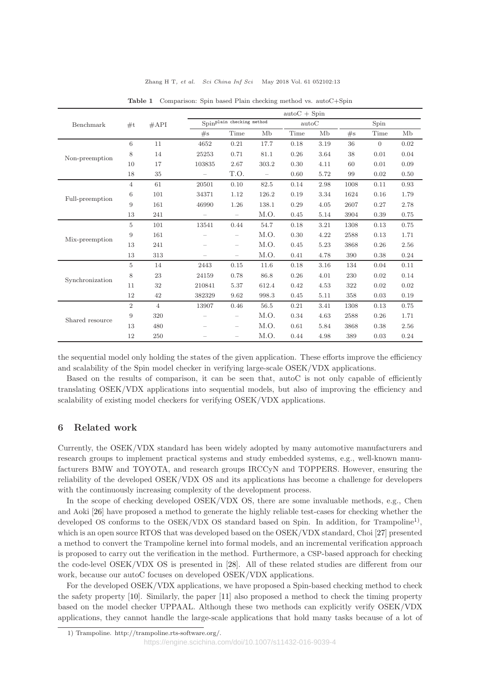|                 | #t             | #API           | $autoC + Spin$                        |                          |                          |       |      |      |          |      |
|-----------------|----------------|----------------|---------------------------------------|--------------------------|--------------------------|-------|------|------|----------|------|
| Benchmark       |                |                | Spin <sup>plain</sup> checking method |                          |                          | autoC |      | Spin |          |      |
|                 |                |                | $\#s$                                 | Time                     | Mb                       | Time  | Mb   | #s   | Time     | Mb   |
| Non-preemption  | 6              | 11             | 4652                                  | 0.21                     | 17.7                     | 0.18  | 3.19 | 36   | $\Omega$ | 0.02 |
|                 | 8              | 14             | 25253                                 | 0.71                     | 81.1                     | 0.26  | 3.64 | 38   | 0.01     | 0.04 |
|                 | 10             | 17             | 103835                                | 2.67                     | 303.2                    | 0.30  | 4.11 | 60   | 0.01     | 0.09 |
|                 | 18             | 35             | $\overline{\phantom{0}}$              | T.O.                     | $\overline{\phantom{m}}$ | 0.60  | 5.72 | 99   | 0.02     | 0.50 |
| Full-preemption | $\overline{4}$ | 61             | 20501                                 | 0.10                     | 82.5                     | 0.14  | 2.98 | 1008 | 0.11     | 0.93 |
|                 | 6              | 101            | 34371                                 | 1.12                     | 126.2                    | 0.19  | 3.34 | 1624 | 0.16     | 1.79 |
|                 | 9              | 161            | 46990                                 | 1.26                     | 138.1                    | 0.29  | 4.05 | 2607 | 0.27     | 2.78 |
|                 | 13             | 241            |                                       | $\overline{\phantom{0}}$ | M.O.                     | 0.45  | 5.14 | 3904 | 0.39     | 0.75 |
| Mix-preemption  | 5              | 101            | 13541                                 | 0.44                     | 54.7                     | 0.18  | 3.21 | 1308 | 0.13     | 0.75 |
|                 | 9              | 161            |                                       |                          | M.O.                     | 0.30  | 4.22 | 2588 | 0.13     | 1.71 |
|                 | 13             | 241            |                                       | $\overline{\phantom{m}}$ | M.O.                     | 0.45  | 5.23 | 3868 | 0.26     | 2.56 |
|                 | 13             | 313            |                                       | $\overline{\phantom{0}}$ | M.O.                     | 0.41  | 4.78 | 390  | 0.38     | 0.24 |
| Synchronization | 5              | 14             | 2443                                  | 0.15                     | 11.6                     | 0.18  | 3.16 | 134  | 0.04     | 0.11 |
|                 | 8              | 23             | 24159                                 | 0.78                     | 86.8                     | 0.26  | 4.01 | 230  | 0.02     | 0.14 |
|                 | 11             | 32             | 210841                                | 5.37                     | 612.4                    | 0.42  | 4.53 | 322  | 0.02     | 0.02 |
|                 | 12             | 42             | 382329                                | 9.62                     | 998.3                    | 0.45  | 5.11 | 358  | 0.03     | 0.19 |
| Shared resource | $\overline{2}$ | $\overline{4}$ | 13907                                 | 0.46                     | 56.5                     | 0.21  | 3.41 | 1308 | 0.13     | 0.75 |
|                 | 9              | 320            |                                       | $\overline{\phantom{m}}$ | M.O.                     | 0.34  | 4.63 | 2588 | 0.26     | 1.71 |
|                 | 13             | 480            |                                       | $\qquad \qquad$          | M.O.                     | 0.61  | 5.84 | 3868 | 0.38     | 2.56 |
|                 | 12             | 250            |                                       | $\overline{\phantom{0}}$ | M.O.                     | 0.44  | 4.98 | 389  | 0.03     | 0.24 |

Table 1 Comparison: Spin based Plain checking method vs. autoC+Spin

the sequential model only holding the states of the given application. These efforts improve the efficiency and scalability of the Spin model checker in verifying large-scale OSEK/VDX applications.

Based on the results of comparison, it can be seen that, autoC is not only capable of efficiently translating OSEK/VDX applications into sequential models, but also of improving the efficiency and scalability of existing model checkers for verifying OSEK/VDX applications.

# 6 Related work

Currently, the OSEK/VDX standard has been widely adopted by many automotive manufacturers and research groups to implement practical systems and study embedded systems, e.g., well-known manufacturers BMW and TOYOTA, and research groups IRCCyN and TOPPERS. However, ensuring the reliability of the developed OSEK/VDX OS and its applications has become a challenge for developers with the continuously increasing complexity of the development process.

In the scope of checking developed OSEK/VDX OS, there are some invaluable methods, e.g., Chen and Aoki [26] have proposed a method to generate the highly reliable test-cases for checking whether the developed OS conforms to the OSEK/VDX OS standard based on Spin. In addition, for Trampoline<sup>1</sup>, which is an open source RTOS that was developed based on the OSEK/VDX standard, Choi [27] presented a method to convert the Trampoline kernel into formal models, and an incremental verification approach is proposed to carry out the verification in the method. Furthermore, a CSP-based approach for checking the code-level OSEK/VDX OS is presented in [28]. All of these related studies are different from our work, because our autoC focuses on developed OSEK/VDX applications.

For the developed OSEK/VDX applications, we have proposed a Spin-based checking method to check the safety property [10]. Similarly, the paper [11] also proposed a method to check the timing property based on the model checker UPPAAL. Although these two methods can explicitly verify OSEK/VDX applications, they cannot handle the large-scale applications that hold many tasks because of a lot of

<sup>1)</sup> Trampoline. http://trampoline.rts-software.org/.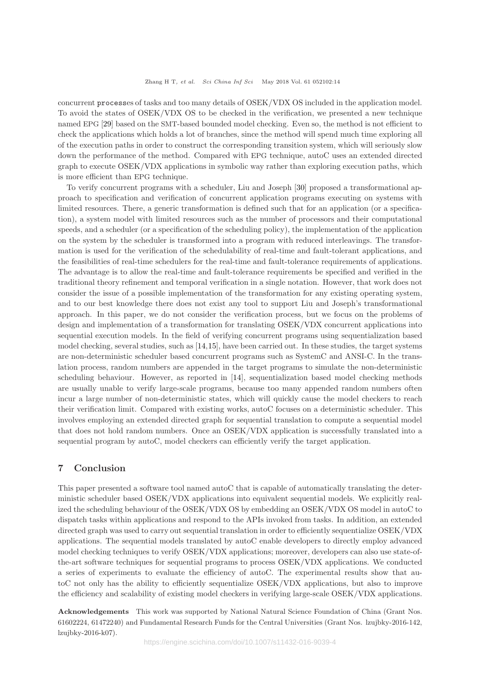concurrent processes of tasks and too many details of OSEK/VDX OS included in the application model. To avoid the states of OSEK/VDX OS to be checked in the verification, we presented a new technique named EPG [29] based on the SMT-based bounded model checking. Even so, the method is not efficient to check the applications which holds a lot of branches, since the method will spend much time exploring all of the execution paths in order to construct the corresponding transition system, which will seriously slow down the performance of the method. Compared with EPG technique, autoC uses an extended directed graph to execute OSEK/VDX applications in symbolic way rather than exploring execution paths, which is more efficient than EPG technique.

To verify concurrent programs with a scheduler, Liu and Joseph [30] proposed a transformational approach to specification and verification of concurrent application programs executing on systems with limited resources. There, a generic transformation is defined such that for an application (or a specification), a system model with limited resources such as the number of processors and their computational speeds, and a scheduler (or a specification of the scheduling policy), the implementation of the application on the system by the scheduler is transformed into a program with reduced interleavings. The transformation is used for the verification of the schedulability of real-time and fault-tolerant applications, and the feasibilities of real-time schedulers for the real-time and fault-tolerance requirements of applications. The advantage is to allow the real-time and fault-tolerance requirements be specified and verified in the traditional theory refinement and temporal verification in a single notation. However, that work does not consider the issue of a possible implementation of the transformation for any existing operating system, and to our best knowledge there does not exist any tool to support Liu and Joseph's transformational approach. In this paper, we do not consider the verification process, but we focus on the problems of design and implementation of a transformation for translating OSEK/VDX concurrent applications into sequential execution models. In the field of verifying concurrent programs using sequentialization based model checking, several studies, such as [14,15], have been carried out. In these studies, the target systems are non-deterministic scheduler based concurrent programs such as SystemC and ANSI-C. In the translation process, random numbers are appended in the target programs to simulate the non-deterministic scheduling behaviour. However, as reported in [14], sequentialization based model checking methods are usually unable to verify large-scale programs, because too many appended random numbers often incur a large number of non-deterministic states, which will quickly cause the model checkers to reach their verification limit. Compared with existing works, autoC focuses on a deterministic scheduler. This involves employing an extended directed graph for sequential translation to compute a sequential model that does not hold random numbers. Once an OSEK/VDX application is successfully translated into a sequential program by autoC, model checkers can efficiently verify the target application.

# 7 Conclusion

This paper presented a software tool named autoC that is capable of automatically translating the deterministic scheduler based OSEK/VDX applications into equivalent sequential models. We explicitly realized the scheduling behaviour of the OSEK/VDX OS by embedding an OSEK/VDX OS model in autoC to dispatch tasks within applications and respond to the APIs invoked from tasks. In addition, an extended directed graph was used to carry out sequential translation in order to efficiently sequentialize OSEK/VDX applications. The sequential models translated by autoC enable developers to directly employ advanced model checking techniques to verify OSEK/VDX applications; moreover, developers can also use state-ofthe-art software techniques for sequential programs to process OSEK/VDX applications. We conducted a series of experiments to evaluate the efficiency of autoC. The experimental results show that autoC not only has the ability to efficiently sequentialize OSEK/VDX applications, but also to improve the efficiency and scalability of existing model checkers in verifying large-scale OSEK/VDX applications.

Acknowledgements This work was supported by National Natural Science Foundation of China (Grant Nos. 61602224, 61472240) and Fundamental Research Funds for the Central Universities (Grant Nos. lzujbky-2016-142, lzujbky-2016-k07).